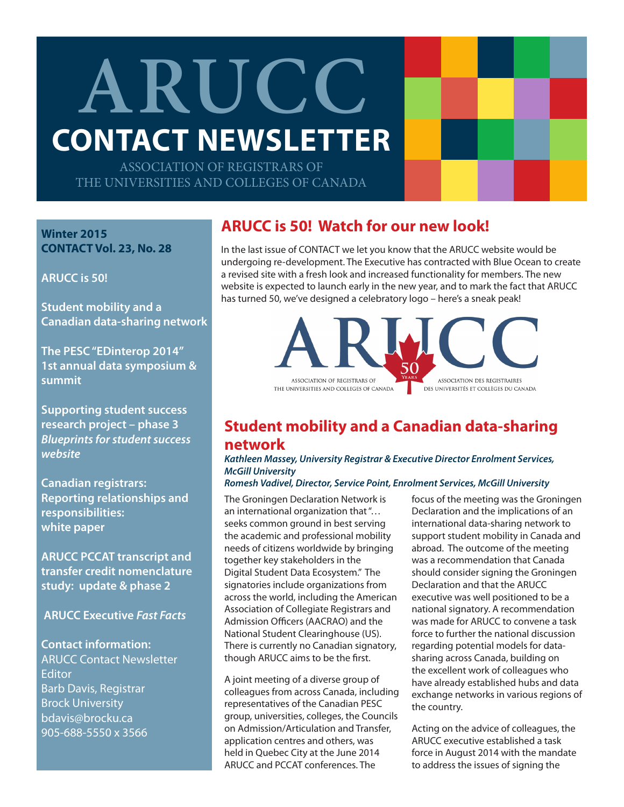# **ARUCC CONTACT NEWSLETTER**

ASSOCIATION OF REGISTRARS OF THE UNIVERSITIES AND COLLEGES OF CANADA

**Winter 2015 CONTACT Vol. 23, No. 28**

**ARUCC is 50!**

**Student mobility and a Canadian data-sharing network**

**The PESC "EDinterop 2014" 1st annual data symposium & summit**

**Supporting student success research project – phase 3** *Blueprints for student success website*

**Canadian registrars: Reporting relationships and responsibilities: white paper**

**ARUCC PCCAT transcript and transfer credit nomenclature study: update & phase 2** 

 **ARUCC Executive** *Fast Facts*

**Contact information:** ARUCC Contact Newsletter **Editor** Barb Davis, Registrar Brock University bdavis@brocku.ca 905-688-5550 x 3566

## **ARUCC is 50! Watch for our new look!**

In the last issue of CONTACT we let you know that the ARUCC website would be undergoing re-development. The Executive has contracted with Blue Ocean to create a revised site with a fresh look and increased functionality for members. The new website is expected to launch early in the new year, and to mark the fact that ARUCC has turned 50, we've designed a celebratory logo – here's a sneak peak!



## **Student mobility and a Canadian data-sharing network**

*Kathleen Massey, University Registrar & Executive Director Enrolment Services, McGill University*

#### *Romesh Vadivel, Director, Service Point, Enrolment Services, McGill University*

The Groningen Declaration Network is an international organization that "… seeks common ground in best serving the academic and professional mobility needs of citizens worldwide by bringing together key stakeholders in the Digital Student Data Ecosystem." The signatories include organizations from across the world, including the American Association of Collegiate Registrars and Admission Officers (AACRAO) and the National Student Clearinghouse (US). There is currently no Canadian signatory, though ARUCC aims to be the first.

A joint meeting of a diverse group of colleagues from across Canada, including representatives of the Canadian PESC group, universities, colleges, the Councils on Admission/Articulation and Transfer, application centres and others, was held in Quebec City at the June 2014 ARUCC and PCCAT conferences. The

focus of the meeting was the Groningen Declaration and the implications of an international data-sharing network to support student mobility in Canada and abroad. The outcome of the meeting was a recommendation that Canada should consider signing the Groningen Declaration and that the ARUCC executive was well positioned to be a national signatory. A recommendation was made for ARUCC to convene a task force to further the national discussion regarding potential models for datasharing across Canada, building on the excellent work of colleagues who have already established hubs and data exchange networks in various regions of the country.

Acting on the advice of colleagues, the ARUCC executive established a task force in August 2014 with the mandate to address the issues of signing the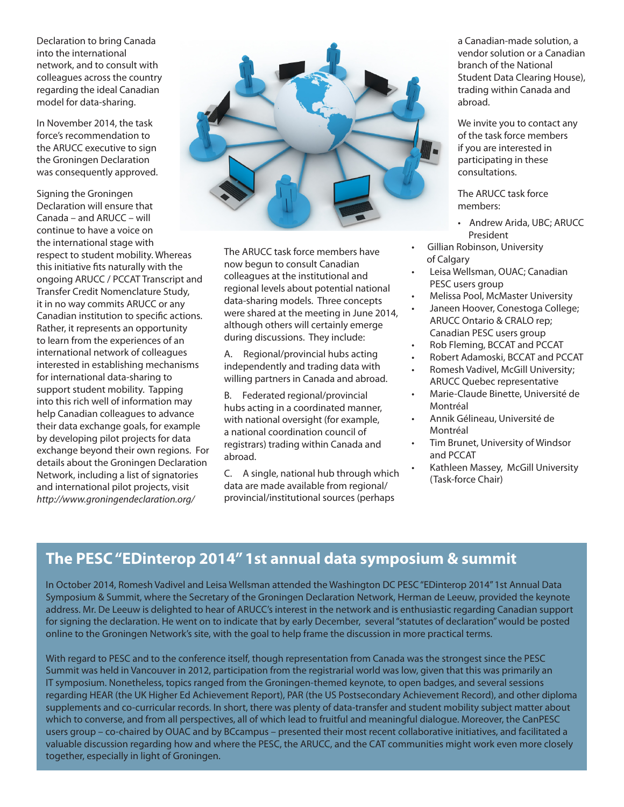Declaration to bring Canada into the international network, and to consult with colleagues across the country regarding the ideal Canadian model for data-sharing.

In November 2014, the task force's recommendation to the ARUCC executive to sign the Groningen Declaration was consequently approved.

Signing the Groningen Declaration will ensure that Canada – and ARUCC – will continue to have a voice on the international stage with respect to student mobility. Whereas this initiative fits naturally with the ongoing ARUCC / PCCAT Transcript and Transfer Credit Nomenclature Study, it in no way commits ARUCC or any Canadian institution to specific actions. Rather, it represents an opportunity to learn from the experiences of an international network of colleagues interested in establishing mechanisms for international data-sharing to support student mobility. Tapping into this rich well of information may help Canadian colleagues to advance their data exchange goals, for example by developing pilot projects for data exchange beyond their own regions. For details about the Groningen Declaration Network, including a list of signatories and international pilot projects, visit *http://www.groningendeclaration.org/*



The ARUCC task force members have now begun to consult Canadian colleagues at the institutional and regional levels about potential national data-sharing models. Three concepts were shared at the meeting in June 2014, although others will certainly emerge during discussions. They include:

A. Regional/provincial hubs acting independently and trading data with willing partners in Canada and abroad.

B. Federated regional/provincial hubs acting in a coordinated manner, with national oversight (for example, a national coordination council of registrars) trading within Canada and abroad.

C. A single, national hub through which data are made available from regional/ provincial/institutional sources (perhaps

a Canadian-made solution, a vendor solution or a Canadian branch of the National Student Data Clearing House), trading within Canada and abroad.

We invite you to contact any of the task force members if you are interested in participating in these consultations.

The ARUCC task force members:

- Andrew Arida, UBC; ARUCC President
- Gillian Robinson, University of Calgary
- Leisa Wellsman, OUAC; Canadian PESC users group
- Melissa Pool, McMaster University
- Janeen Hoover, Conestoga College; ARUCC Ontario & CRALO rep; Canadian PESC users group
- Rob Fleming, BCCAT and PCCAT
- Robert Adamoski, BCCAT and PCCAT
- Romesh Vadivel, McGill University; ARUCC Quebec representative
- Marie-Claude Binette, Université de Montréal
- Annik Gélineau, Université de Montréal
- Tim Brunet, University of Windsor and PCCAT
	- Kathleen Massey, McGill University (Task-force Chair)

## **The PESC "EDinterop 2014" 1st annual data symposium & summit**

In October 2014, Romesh Vadivel and Leisa Wellsman attended the Washington DC PESC "EDinterop 2014" 1st Annual Data Symposium & Summit, where the Secretary of the Groningen Declaration Network, Herman de Leeuw, provided the keynote address. Mr. De Leeuw is delighted to hear of ARUCC's interest in the network and is enthusiastic regarding Canadian support for signing the declaration. He went on to indicate that by early December, several "statutes of declaration" would be posted online to the Groningen Network's site, with the goal to help frame the discussion in more practical terms.

With regard to PESC and to the conference itself, though representation from Canada was the strongest since the PESC Summit was held in Vancouver in 2012, participation from the registrarial world was low, given that this was primarily an IT symposium. Nonetheless, topics ranged from the Groningen-themed keynote, to open badges, and several sessions regarding HEAR (the UK Higher Ed Achievement Report), PAR (the US Postsecondary Achievement Record), and other diploma supplements and co-curricular records. In short, there was plenty of data-transfer and student mobility subject matter about which to converse, and from all perspectives, all of which lead to fruitful and meaningful dialogue. Moreover, the CanPESC users group – co-chaired by OUAC and by BCcampus – presented their most recent collaborative initiatives, and facilitated a valuable discussion regarding how and where the PESC, the ARUCC, and the CAT communities might work even more closely together, especially in light of Groningen.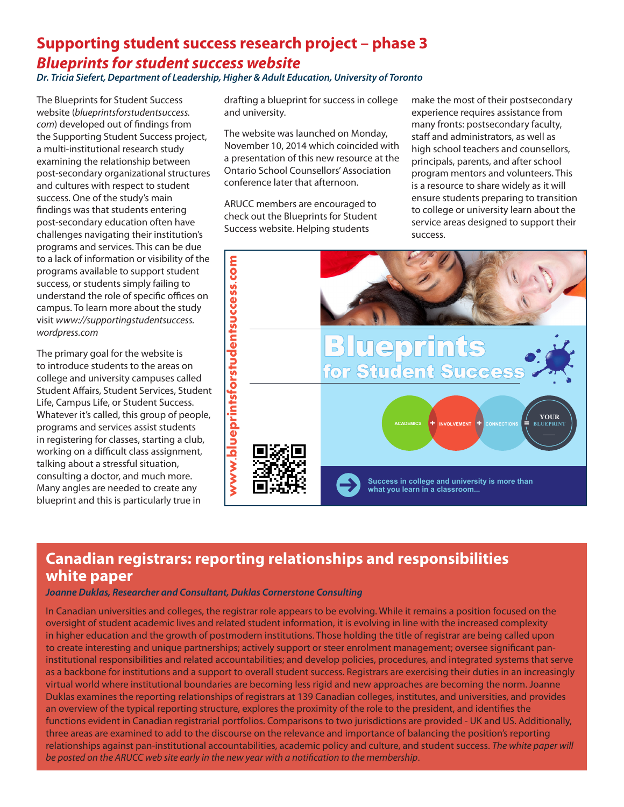## **Supporting student success research project – phase 3** *Blueprints for student success website Dr. Tricia Siefert, Department of Leadership, Higher & Adult Education, University of Toronto*

The Blueprints for Student Success website (*blueprintsforstudentsuccess. com*) developed out of findings from the Supporting Student Success project, a multi-institutional research study examining the relationship between post-secondary organizational structures and cultures with respect to student success. One of the study's main findings was that students entering post-secondary education often have challenges navigating their institution's programs and services. This can be due to a lack of information or visibility of the programs available to support student success, or students simply failing to understand the role of specific offices on campus. To learn more about the study visit *www://supportingstudentsuccess. wordpress.com*

The primary goal for the website is to introduce students to the areas on college and university campuses called Student Affairs, Student Services, Student Life, Campus Life, or Student Success. Whatever it's called, this group of people, programs and services assist students in registering for classes, starting a club, working on a difficult class assignment, talking about a stressful situation, consulting a doctor, and much more. Many angles are needed to create any blueprint and this is particularly true in

drafting a blueprint for success in college and university.

The website was launched on Monday, November 10, 2014 which coincided with a presentation of this new resource at the Ontario School Counsellors' Association conference later that afternoon.

ARUCC members are encouraged to check out the Blueprints for Student Success website. Helping students

make the most of their postsecondary experience requires assistance from many fronts: postsecondary faculty, staff and administrators, as well as high school teachers and counsellors, principals, parents, and after school program mentors and volunteers. This is a resource to share widely as it will ensure students preparing to transition to college or university learn about the service areas designed to support their success.



## **Canadian registrars: reporting relationships and responsibilities white paper**

### *Joanne Duklas, Researcher and Consultant, Duklas Cornerstone Consulting*

In Canadian universities and colleges, the registrar role appears to be evolving. While it remains a position focused on the oversight of student academic lives and related student information, it is evolving in line with the increased complexity in higher education and the growth of postmodern institutions. Those holding the title of registrar are being called upon to create interesting and unique partnerships; actively support or steer enrolment management; oversee significant paninstitutional responsibilities and related accountabilities; and develop policies, procedures, and integrated systems that serve as a backbone for institutions and a support to overall student success. Registrars are exercising their duties in an increasingly virtual world where institutional boundaries are becoming less rigid and new approaches are becoming the norm. Joanne Duklas examines the reporting relationships of registrars at 139 Canadian colleges, institutes, and universities, and provides an overview of the typical reporting structure, explores the proximity of the role to the president, and identifies the functions evident in Canadian registrarial portfolios. Comparisons to two jurisdictions are provided - UK and US. Additionally, three areas are examined to add to the discourse on the relevance and importance of balancing the position's reporting relationships against pan-institutional accountabilities, academic policy and culture, and student success. *The white paper will be posted on the ARUCC web site early in the new year with a notification to the membership*.